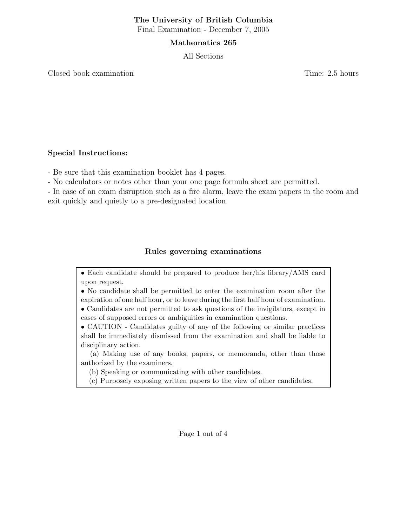#### The University of British Columbia Final Examination - December 7, 2005

#### Mathematics 265

All Sections

Closed book examination **Time:** 2.5 hours

## Special Instructions:

- Be sure that this examination booklet has 4 pages.

- No calculators or notes other than your one page formula sheet are permitted.

- In case of an exam disruption such as a fire alarm, leave the exam papers in the room and exit quickly and quietly to a pre-designated location.

## Rules governing examinations

• Each candidate should be prepared to produce her/his library/AMS card upon request.

• No candidate shall be permitted to enter the examination room after the expiration of one half hour, or to leave during the first half hour of examination.

• Candidates are not permitted to ask questions of the invigilators, except in cases of supposed errors or ambiguities in examination questions.

• CAUTION - Candidates guilty of any of the following or similar practices shall be immediately dismissed from the examination and shall be liable to disciplinary action.

(a) Making use of any books, papers, or memoranda, other than those authorized by the examiners.

(b) Speaking or communicating with other candidates.

(c) Purposely exposing written papers to the view of other candidates.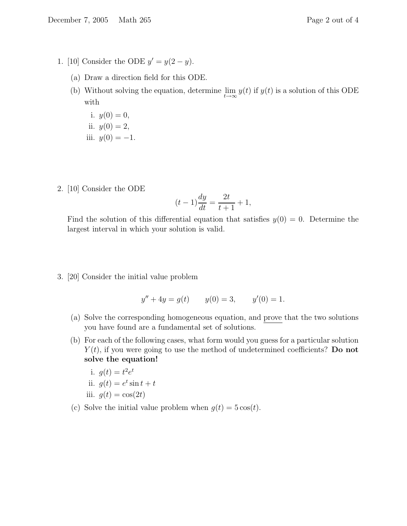- (a) Draw a direction field for this ODE.
- (b) Without solving the equation, determine  $\lim_{t\to\infty} y(t)$  if  $y(t)$  is a solution of this ODE with
	- i.  $y(0) = 0$ , ii.  $y(0) = 2$ , iii.  $y(0) = -1$ .
- 2. [10] Consider the ODE

$$
(t-1)\frac{dy}{dt} = \frac{2t}{t+1} + 1,
$$

Find the solution of this differential equation that satisfies  $y(0) = 0$ . Determine the largest interval in which your solution is valid.

3. [20] Consider the initial value problem

$$
y'' + 4y = g(t) \qquad y(0) = 3, \qquad y'(0) = 1.
$$

- (a) Solve the corresponding homogeneous equation, and prove that the two solutions you have found are a fundamental set of solutions.
- (b) For each of the following cases, what form would you guess for a particular solution  $Y(t)$ , if you were going to use the method of undetermined coefficients? Do not solve the equation!

i. 
$$
g(t) = t^2 e^t
$$
  
ii.  $g(t) = e^t \sin t + t$   
iii.  $g(t) = \cos(2t)$ 

(c) Solve the initial value problem when  $g(t) = 5 \cos(t)$ .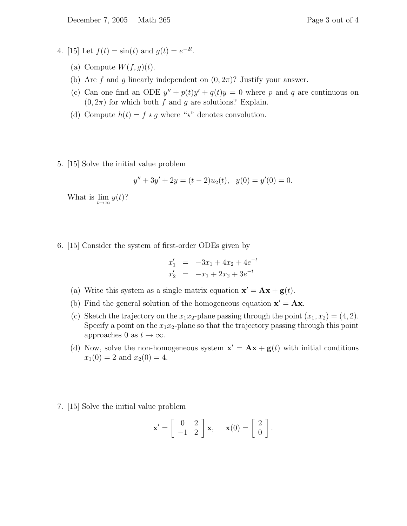- 4. [15] Let  $f(t) = \sin(t)$  and  $g(t) = e^{-2t}$ .
	- (a) Compute  $W(f, g)(t)$ .
	- (b) Are f and g linearly independent on  $(0, 2\pi)$ ? Justify your answer.
	- (c) Can one find an ODE  $y'' + p(t)y' + q(t)y = 0$  where p and q are continuous on  $(0, 2\pi)$  for which both f and g are solutions? Explain.
	- (d) Compute  $h(t) = f \star g$  where " $\star$ " denotes convolution.
- 5. [15] Solve the initial value problem

$$
y'' + 3y' + 2y = (t - 2)u_2(t), \quad y(0) = y'(0) = 0.
$$

What is  $\lim_{t\to\infty} y(t)$ ?

6. [15] Consider the system of first-order ODEs given by

$$
x'_1 = -3x_1 + 4x_2 + 4e^{-t}
$$
  

$$
x'_2 = -x_1 + 2x_2 + 3e^{-t}
$$

- (a) Write this system as a single matrix equation  $\mathbf{x}' = \mathbf{A}\mathbf{x} + \mathbf{g}(t)$ .
- (b) Find the general solution of the homogeneous equation  $\mathbf{x}' = \mathbf{A}\mathbf{x}$ .
- (c) Sketch the trajectory on the  $x_1x_2$ -plane passing through the point  $(x_1, x_2) = (4, 2)$ . Specify a point on the  $x_1x_2$ -plane so that the trajectory passing through this point approaches 0 as  $t \to \infty$ .
- (d) Now, solve the non-homogeneous system  $\mathbf{x}' = \mathbf{A}\mathbf{x} + \mathbf{g}(t)$  with initial conditions  $x_1(0) = 2$  and  $x_2(0) = 4$ .
- 7. [15] Solve the initial value problem

$$
\mathbf{x}' = \begin{bmatrix} 0 & 2 \\ -1 & 2 \end{bmatrix} \mathbf{x}, \quad \mathbf{x}(0) = \begin{bmatrix} 2 \\ 0 \end{bmatrix}.
$$